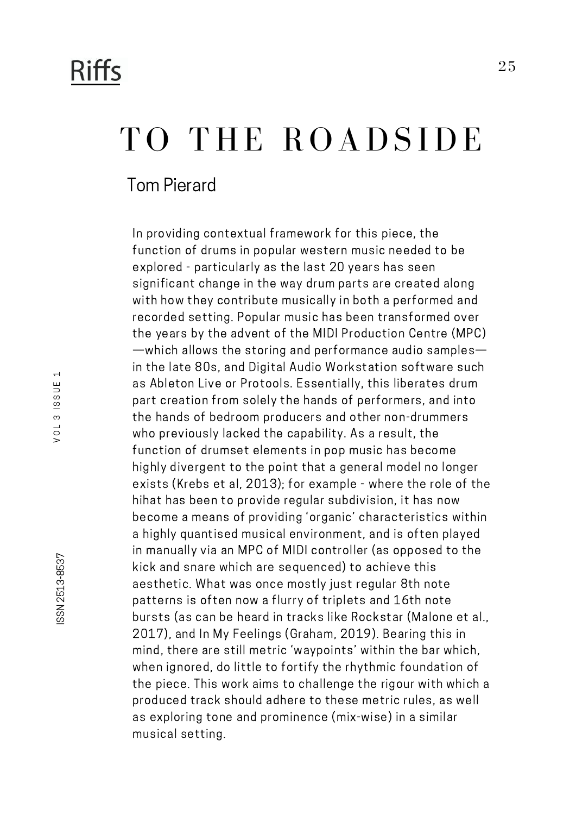## **Riffs**

# TO THE ROADSIDE

Tom Pierard

In providing contextual framework for this piece, the function of drums in popular western music needed to be explored - particularly as the last 20 years has seen significant change in the way drum parts are created along with how they contribute musically in both a performed and recorded setting. Popular music has been transformed over the years by the advent of the MIDI Production Centre (MPC) —which allows the storing and performance audio samples in the late 80s, and Digital Audio Workstation software such as Ableton Live or Protools. Essentially, this liberates drum part creation from solely the hands of performers, and into the hands of bedroom producers and other non-drummers who previously lacked the capability. As a result, the function of drumset elements in pop music has become highly divergent to the point that a general model no longer exists (Krebs et al, 2013); for example - where the role of the hihat has been to provide regular subdivision, it has now become a means of providing 'organic' characteristics within a highly quantised musical environment, and is often played in manually via an MPC of MIDI controller (as opposed to the kick and snare which are sequenced) to achieve this aesthetic. What was once mostly just regular 8th note patterns is often now a flurry of triplets and 16th note bursts (as can be heard in tracks like Rockstar (Malone et al., 2017), and In My Feelings (Graham, 2019). Bearing this in mind, there are still metric 'waypoints' within the bar which, when ignored, do little to fortify the rhythmic foundation of the piece. This work aims to challenge the rigour with which a produced track should adhere to these metric rules, as well as exploring tone and prominence (mix-wise) in a similar musical setting.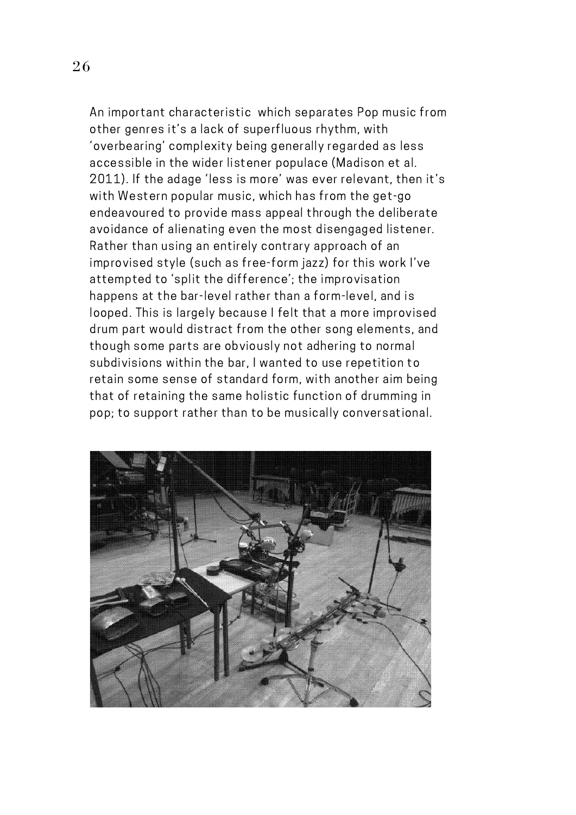An important characteristic which separates Pop music from other genres it's a lack of superfluous rhythm, with 'overbearing' complexity being generally regarded as less accessible in the wider listener populace (Madison et al. 2011). If the adage 'less is more' was ever relevant, then it's with Western popular music, which has from the get-go endeavoured to provide mass appeal through the deliberate avoidance of alienating even the most disengaged listener. Rather than using an entirely contrary approach of an improvised style (such as free-form jazz) for this work I've attempted to 'split the difference'; the improvisation happens at the bar-level rather than a form-level, and is looped. This is largely because Ifelt that a more improvised drum part would distract from the other song elements, and though some parts are obviously not adhering to normal subdivisions within the bar, I wanted to use repetition to retain some sense of standard form, with another aim being that of retaining the same holistic function of drumming in pop; to support rather than to be musically conversational.

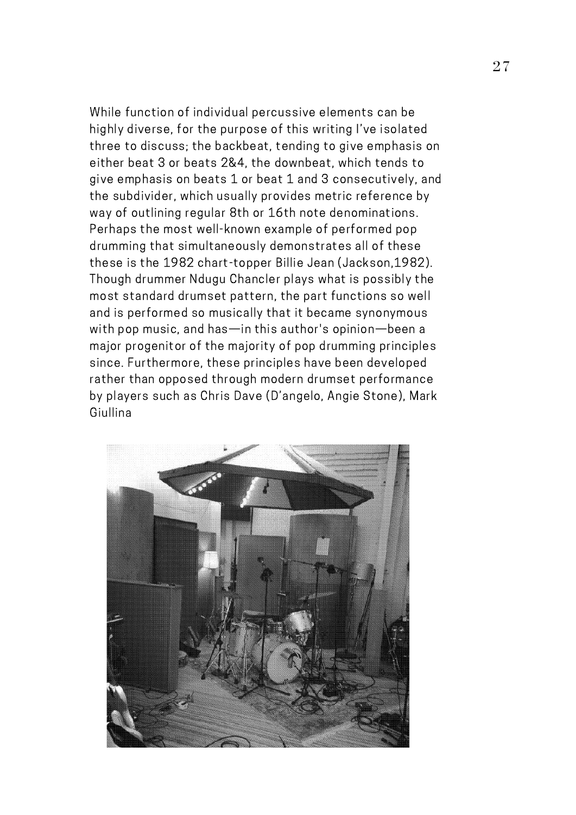While function of individual percussive elements can be highly diverse, for the purpose of this writing I've isolated three to discuss; the backbeat, tending to give emphasis on either beat 3 or beats 2&4, the downbeat, which tends to give emphasis on beats 1 or beat 1 and 3 consecutively, and the subdivider, which usually provides metric reference by way of outlining regular 8th or 16th note denominations. Perhaps the most well-known example of performed pop drumming that simultaneously demonstrates all of these these is the 1982 chart-topper Billie Jean (Jackson,1982). Though drummer Ndugu Chancler plays what is possibly the most standard drumset pattern, the part functions so well and is performed so musically that it became synonymous with pop music, and has—in this author's opinion—been a major progenitor of the majority of pop drumming principles since. Furthermore, these principles have been developed rather than opposed through modern drumset performance by players such as Chris Dave (D'angelo, Angie Stone), Mark Giullina

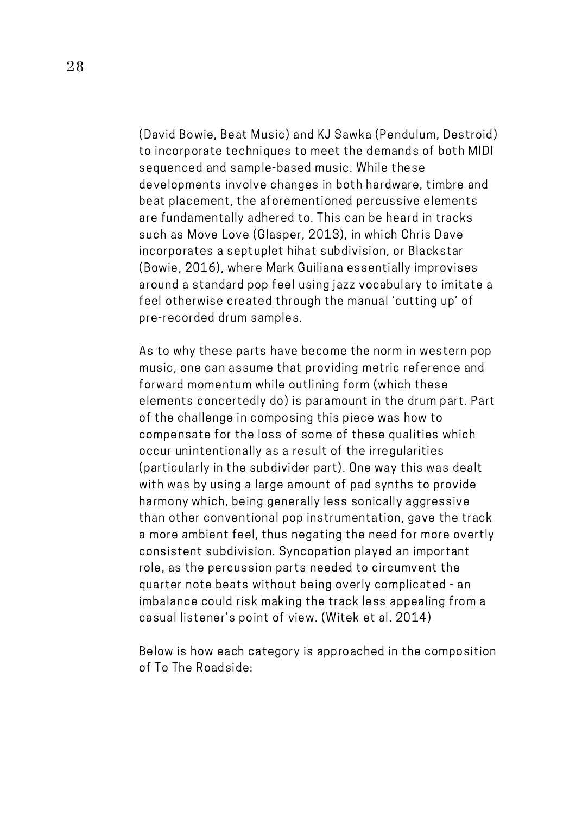(David Bowie, Beat Music) and KJ Sawka (Pendulum, Destroid) to incorporate techniques to meet the demands of both MIDI sequenced and sample-based music. While these developments involve changes in both hardware, timbre and beat placement, the aforementioned percussive elements are fundamentally adhered to. This can be heard in tracks such as Move Love (Glasper, 2013), in which Chris Dave incorporates a septuplet hihat subdivision, or Blackstar (Bowie, 2016), where Mark Guiliana essentially improvises around a standard pop feel using jazz vocabulary to imitate a feel otherwise created through the manual 'cutting up' of pre-recorded drum samples.

As to why these parts have become the norm in western pop music, one can assume that providing metric reference and forward momentum while outlining form (which these elements concertedly do) is paramount in the drum part. Part of the challenge in composing this piece was how to compensate for the loss of some of these qualities which occur unintentionally as a result of the irregularities (particularly in the subdivider part). One way this was dealt with was by using a large amount of pad synths to provide harmony which, being generally less sonically aggressive than other conventional pop instrumentation, gave the track a more ambient feel, thus negating the need for more overtly consistent subdivision. Syncopation played an important role, as the percussion parts needed to circumvent the quarter note beats without being overly complicated - an imbalance could risk making the track less appealing from a casual listener's point of view. (Witek et al. 2014)

Below is how each category is approached in the composition of To The Roadside: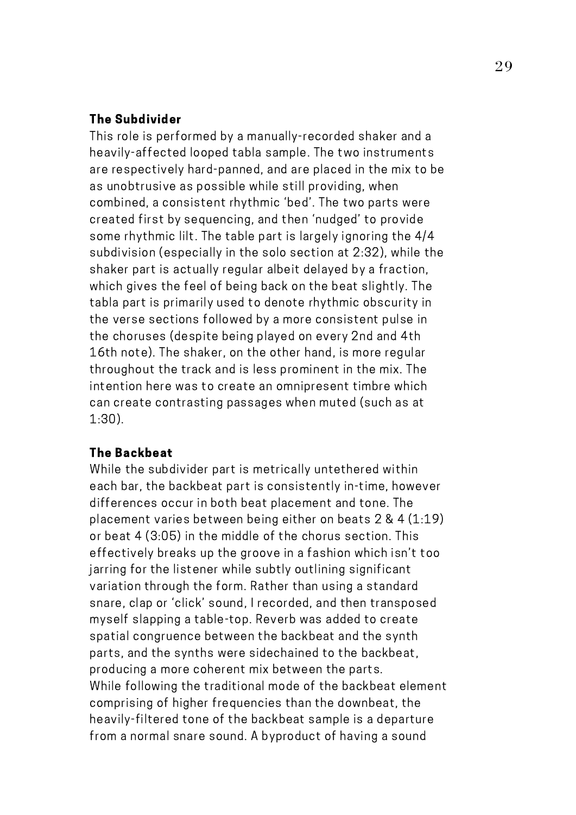#### The Subdivider

This role is performed by a manually-recorded shaker and a heavily-affected looped tabla sample. The two instruments are respectively hard-panned, and are placed in the mix to be as unobtrusive as possible while still providing, when combined, a consistent rhythmic 'bed'. The two parts were created first by sequencing, and then 'nudged' to provide some rhythmic lilt. The table part is largely ignoring the 4/4 subdivision (especially in the solo section at 2:32), while the shaker part is actually regular albeit delayed by a fraction, which gives the feel of being back on the beat slightly. The tabla part is primarily used to denote rhythmic obscurity in the verse sections followed by a more consistent pulse in the choruses (despite being played on every 2nd and 4th 16th note). The shaker, on the other hand, is more regular throughout the track and is less prominent in the mix. The intention here was to create an omnipresent timbre which can create contrasting passages when muted (such as at 1:30).

#### The Backbeat

While the subdivider part is metrically untethered within each bar, the backbeat part is consistently in-time, however differences occur in both beat placement and tone. The placement varies between being either on beats 2 & 4 (1:19) or beat 4 (3:05) in the middle of the chorus section. This effectively breaks up the groove in a fashion which isn't too jarring for the listener while subtly outlining significant variation through the form. Rather than using a standard snare, clap or 'click' sound, I recorded, and then transposed myself slapping a table-top. Reverb was added to create spatial congruence between the backbeat and the synth parts, and the synths were sidechained to the backbeat, producing a more coherent mix between the parts. While following the traditional mode of the backbeat element comprising of higher frequencies than the downbeat, the heavily-filtered tone of the backbeat sample is a departure from a normal snare sound. A byproduct of having a sound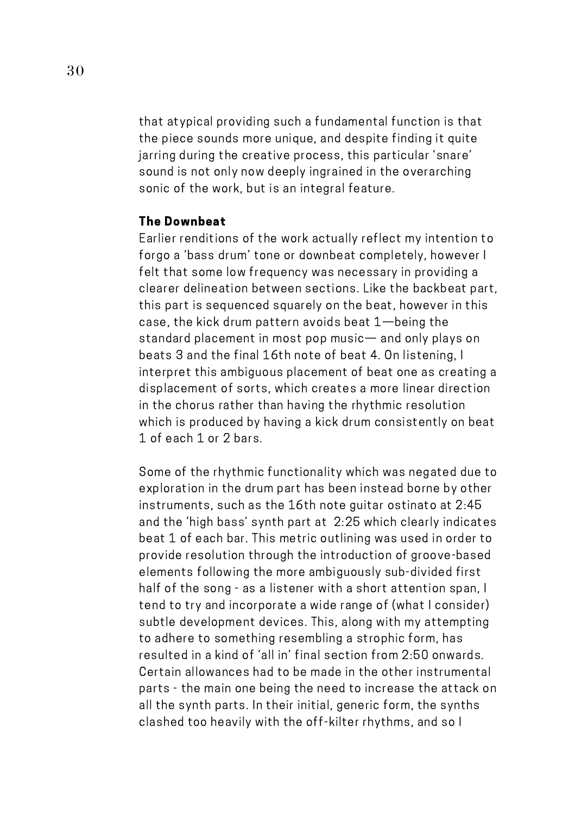that atypical providing such a fundamental function is that the piece sounds more unique, and despite finding it quite jarring during the creative process, this particular 'snare' sound is not only now deeply ingrained in the overarching sonic of the work, but is an integral feature.

#### The Downbeat

Earlier renditions of the work actually reflect my intention to forgo a 'bass drum' tone or downbeat completely, however I felt that some low frequency was necessary in providing a clearer delineation between sections. Like the backbeat part, this part is sequenced squarely on the beat, however in this case, the kick drum pattern avoids beat 1—being the standard placement in most pop music— and only plays on beats 3 and the final 16th note of beat 4. On listening, I interpret this ambiguous placement of beat one as creating a displacement of sorts, which creates a more linear direction in the chorus rather than having the rhythmic resolution which is produced by having a kick drum consistently on beat 1 of each 1 or 2 bars.

Some of the rhythmic functionality which was negated due to exploration in the drum part has been instead borne by other instruments, such as the 16th note guitar ostinato at 2:45 and the 'high bass' synth part at 2:25 which clearly indicates beat 1 of each bar. This metric outlining was used in order to provide resolution through the introduction of groove-based elements following the more ambiguously sub-divided first half of the song - as a listener with a short attention span, I tend to try and incorporate a wide range of (what I consider) subtle development devices. This, along with my attempting to adhere to something resembling a strophic form, has resulted in a kind of 'all in' final section from 2:50 onwards. Certain allowances had to be made in the other instrumental parts - the main one being the need to increase the attack on all the synth parts. In their initial, generic form, the synths clashed too heavily with the off-kilter rhythms, and so I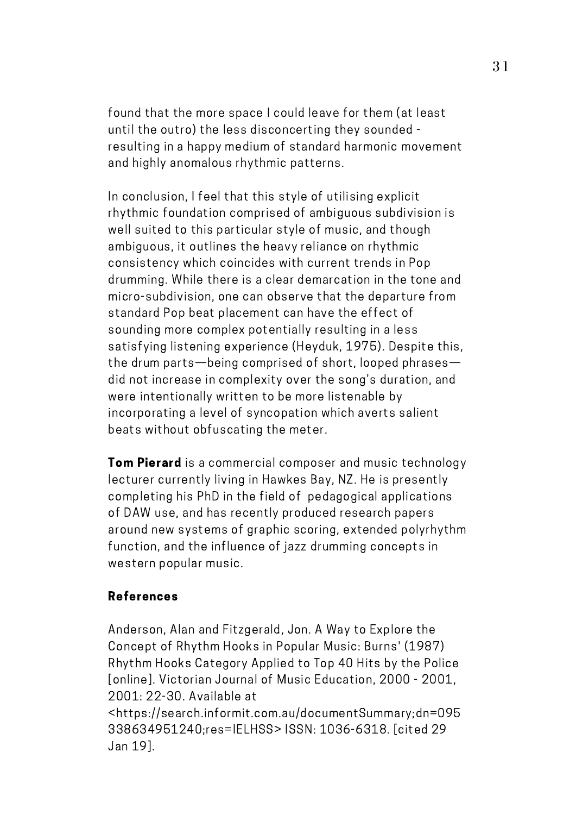found that the more space I could leave for them (at least until the outro) the less disconcerting they sounded resulting in a happy medium of standard harmonic movement and highly anomalous rhythmic patterns.

In conclusion, I feel that this style of utilising explicit rhythmic foundation comprised of ambiguous subdivision is well suited to this particular style of music, and though ambiguous, it outlines the heavy reliance on rhythmic consistency which coincides with current trends in Pop drumming. While there is a clear demarcation in the tone and micro-subdivision, one can observe that the departure from standard Pop beat placement can have the effect of sounding more complex potentially resulting in a less satisfying listening experience (Heyduk, 1975). Despite this, the drum parts—being comprised of short, looped phrases did not increase in complexity over the song's duration, and were intentionally written to be more listenable by incorporating a level of syncopation which averts salient beats without obfuscating the meter.

**Tom Pierard** is a commercial composer and music technology lecturer currently living in Hawkes Bay, NZ. He is presently completing his PhD in the field of pedagogical applications of DAW use, and has recently produced research papers around new systems of graphic scoring, extended polyrhythm function, and the influence of jazz drumming concepts in western popular music.

### References

Anderson, Alan and Fitzgerald, Jon. A Way to Explore the Concept of Rhythm Hooks in Popular Music: Burns' (1987) Rhythm Hooks Category Applied to Top 40 Hits by the Police [online]. Victorian Journal of Music Education, 2000 - 2001, 2001: 22-30. Available at <https://search.informit.com.au/documentSummary;dn=095 338634951240;res=IELHSS> ISSN: 1036-6318. [cited 29 Jan 19].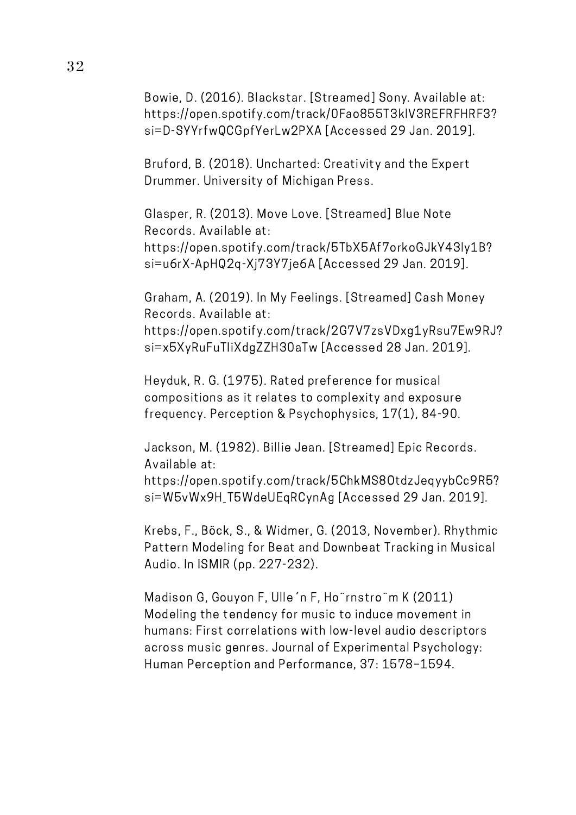Bowie, D. (2016). Blackstar. [Streamed] Sony. Available at: https://open.spotify.com/track/0Fao855T3klV3REFRFHRF3? si=D-SYYrfwQCGpfYerLw2PXA [Accessed 29 Jan. 2019].

Bruford, B. (2018). Uncharted: Creativity and the Expert Drummer. University of Michigan Press.

Glasper, R. (2013). Move Love. [Streamed] Blue Note Records. Available at: https://open.spotify.com/track/5TbX5Af7orkoGJkY43ly1B? si=u6rX-ApHQ2q-Xj73Y7je6A [Accessed 29 Jan. 2019].

Graham, A. (2019). In My Feelings. [Streamed] Cash Money Records. Available at: https://open.spotify.com/track/2G7V7zsVDxg1yRsu7Ew9RJ?

si=x5XyRuFuTIiXdgZZH30aTw [Accessed 28 Jan. 2019].

Heyduk, R. G. (1975). Rated preference for musical compositions as it relates to complexity and exposure frequency. Perception & Psychophysics, 17(1), 84-90.

Jackson, M. (1982). Billie Jean. [Streamed] Epic Records. Available at:

https://open.spotify.com/track/5ChkMS8OtdzJeqyybCc9R5? si=W5vWx9H\_T5WdeUEqRCynAg [Accessed 29 Jan. 2019].

Krebs, F., Böck, S., & Widmer, G. (2013, November). Rhythmic Pattern Modeling for Beat and Downbeat Tracking in Musical Audio. In ISMIR (pp. 227-232).

Madison G, Gouyon F, Ulle´n F, Ho¨rnstro¨m K (2011) Modeling the tendency for music to induce movement in humans: First correlations with low-level audio descriptors across music genres. Journal of Experimental Psychology: Human Perception and Performance, 37: 1578–1594.